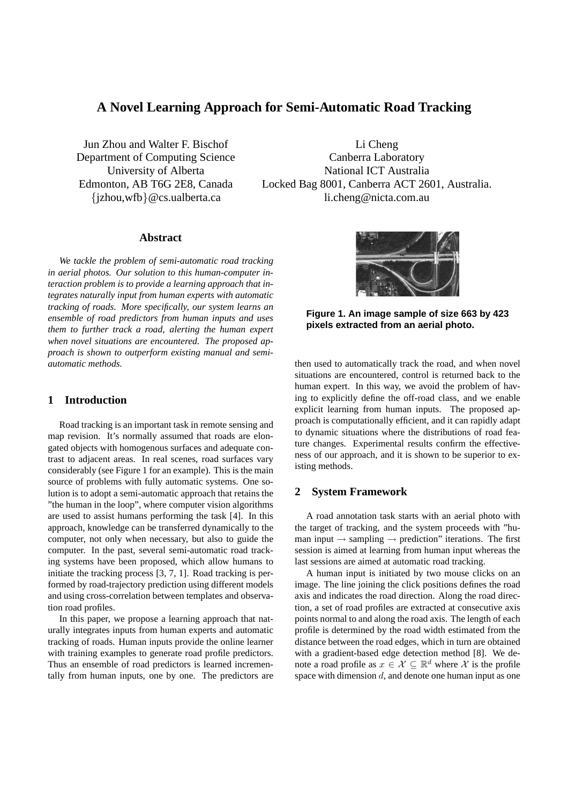# **A Novel Learning Approach for Semi-Automatic Road Tracking**

Jun Zhou and Walter F. Bischof Department of Computing Science University of Alberta Edmonton, AB T6G 2E8, Canada {jzhou,wfb}@cs.ualberta.ca

Li Cheng Canberra Laboratory National ICT Australia Locked Bag 8001, Canberra ACT 2601, Australia. li.cheng@nicta.com.au

## **Abstract**

*We tackle the problem of semi-automatic road tracking in aerial photos. Our solution to this human-computer interaction problem is to provide a learning approach that integrates naturally input from human experts with automatic tracking of roads. More specifically, our system learns an ensemble of road predictors from human inputs and uses them to further track a road, alerting the human expert when novel situations are encountered. The proposed approach is shown to outperform existing manual and semiautomatic methods.*

## **1 Introduction**

Road tracking is an important task in remote sensing and map revision. It's normally assumed that roads are elongated objects with homogenous surfaces and adequate contrast to adjacent areas. In real scenes, road surfaces vary considerably (see Figure 1 for an example). This is the main source of problems with fully automatic systems. One solution is to adopt a semi-automatic approach that retains the "the human in the loop", where computer vision algorithms are used to assist humans performing the task [4]. In this approach, knowledge can be transferred dynamically to the computer, not only when necessary, but also to guide the computer. In the past, several semi-automatic road tracking systems have been proposed, which allow humans to initiate the tracking process [3, 7, 1]. Road tracking is performed by road-trajectory prediction using different models and using cross-correlation between templates and observation road profiles.

In this paper, we propose a learning approach that naturally integrates inputs from human experts and automatic tracking of roads. Human inputs provide the online learner with training examples to generate road profile predictors. Thus an ensemble of road predictors is learned incrementally from human inputs, one by one. The predictors are



**Figure 1. An image sample of size 663 by 423 pixels extracted from an aerial photo.**

then used to automatically track the road, and when novel situations are encountered, control is returned back to the human expert. In this way, we avoid the problem of having to explicitly define the off-road class, and we enable explicit learning from human inputs. The proposed approach is computationally efficient, and it can rapidly adapt to dynamic situations where the distributions of road feature changes. Experimental results confirm the effectiveness of our approach, and it is shown to be superior to existing methods.

### **2 System Framework**

A road annotation task starts with an aerial photo with the target of tracking, and the system proceeds with "human input  $\rightarrow$  sampling  $\rightarrow$  prediction" iterations. The first session is aimed at learning from human input whereas the last sessions are aimed at automatic road tracking.

A human input is initiated by two mouse clicks on an image. The line joining the click positions defines the road axis and indicates the road direction. Along the road direction, a set of road profiles are extracted at consecutive axis points normal to and along the road axis. The length of each profile is determined by the road width estimated from the distance between the road edges, which in turn are obtained with a gradient-based edge detection method [8]. We denote a road profile as  $x \in \mathcal{X} \subseteq \mathbb{R}^d$  where X is the profile space with dimension  $d$ , and denote one human input as one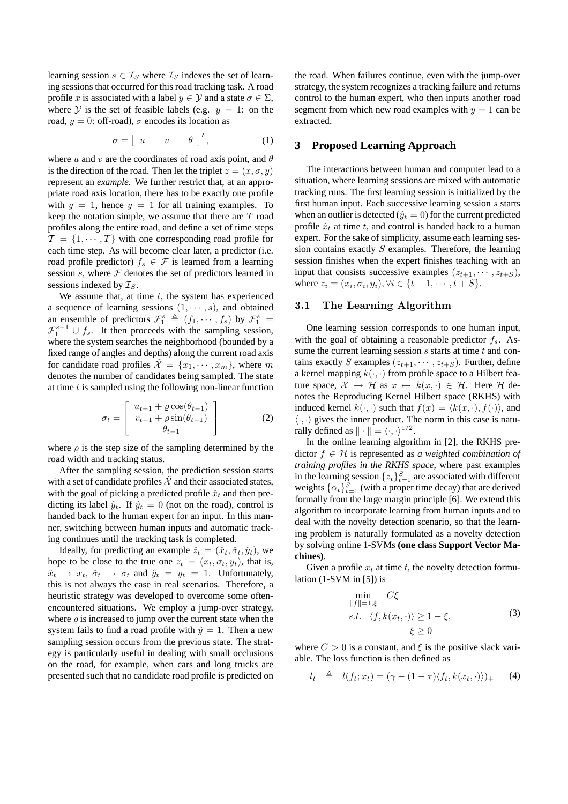learning session  $s \in \mathcal{I}_S$  where  $\mathcal{I}_S$  indexes the set of learning sessions that occurred for this road tracking task. A road profile x is associated with a label  $y \in Y$  and a state  $\sigma \in \Sigma$ , where Y is the set of feasible labels (e.g.  $y = 1$ : on the road,  $y = 0$ : off-road),  $\sigma$  encodes its location as

$$
\sigma = \left[ \begin{array}{ccc} u & v & \theta \end{array} \right]', \qquad (1)
$$

where u and v are the coordinates of road axis point, and  $\theta$ is the direction of the road. Then let the triplet  $z = (x, \sigma, y)$ represent an *example*. We further restrict that, at an appropriate road axis location, there has to be exactly one profile with  $y = 1$ , hence  $y = 1$  for all training examples. To keep the notation simple, we assume that there are  $T$  road profiles along the entire road, and define a set of time steps  $\mathcal{T} = \{1, \cdots, T\}$  with one corresponding road profile for each time step. As will become clear later, a predictor (i.e. road profile predictor)  $f_s \in \mathcal{F}$  is learned from a learning session  $s$ , where  $F$  denotes the set of predictors learned in sessions indexed by  $\mathcal{I}_S$ .

We assume that, at time  $t$ , the system has experienced a sequence of learning sessions  $(1, \dots, s)$ , and obtained an ensemble of predictors  $\mathcal{F}_1^s \triangleq (f_1, \dots, f_s)$  by  $\mathcal{F}_1^s =$  $\mathcal{F}_1^{s-1} \cup f_s$ . It then proceeds with the sampling session, where the system searches the neighborhood (bounded by a fixed range of angles and depths) along the current road axis for candidate road profiles  $\mathcal{X} = \{x_1, \dots, x_m\}$ , where m denotes the number of candidates being sampled. The state at time  $t$  is sampled using the following non-linear function

$$
\sigma_t = \begin{bmatrix} u_{t-1} + \varrho \cos(\theta_{t-1}) \\ v_{t-1} + \varrho \sin(\theta_{t-1}) \\ \theta_{t-1} \end{bmatrix}
$$
 (2)

where  $\rho$  is the step size of the sampling determined by the road width and tracking status.

After the sampling session, the prediction session starts with a set of candidate profiles  $X$  and their associated states, with the goal of picking a predicted profile  $\hat{x}_t$  and then predicting its label  $\hat{y}_t$ . If  $\hat{y}_t = 0$  (not on the road), control is handed back to the human expert for an input. In this manner, switching between human inputs and automatic tracking continues until the tracking task is completed.

Ideally, for predicting an example  $\hat{z}_t = (\hat{x}_t, \hat{\sigma}_t, \hat{y}_t)$ , we hope to be close to the true one  $z_t = (x_t, \sigma_t, y_t)$ , that is,  $\hat{x}_t \rightarrow x_t$ ,  $\hat{\sigma}_t \rightarrow \sigma_t$  and  $\hat{y}_t = y_t = 1$ . Unfortunately, this is not always the case in real scenarios. Therefore, a heuristic strategy was developed to overcome some oftenencountered situations. We employ a jump-over strategy, where  $\rho$  is increased to jump over the current state when the system fails to find a road profile with  $\hat{y} = 1$ . Then a new sampling session occurs from the previous state. The strategy is particularly useful in dealing with small occlusions on the road, for example, when cars and long trucks are presented such that no candidate road profile is predicted on the road. When failures continue, even with the jump-over strategy, the system recognizes a tracking failure and returns control to the human expert, who then inputs another road segment from which new road examples with  $y = 1$  can be extracted.

## **3 Proposed Learning Approach**

The interactions between human and computer lead to a situation, where learning sessions are mixed with automatic tracking runs. The first learning session is initialized by the first human input. Each successive learning session s starts when an outlier is detected ( $\hat{y}_t = 0$ ) for the current predicted profile  $\hat{x}_t$  at time t, and control is handed back to a human expert. For the sake of simplicity, assume each learning session contains exactly  $S$  examples. Therefore, the learning session finishes when the expert finishes teaching with an input that consists successive examples  $(z_{t+1}, \dots, z_{t+S}),$ where  $z_i = (x_i, \sigma_i, y_i), \forall i \in \{t + 1, \dots, t + S\}.$ 

#### 3.1 The Learning Algorithm

One learning session corresponds to one human input, with the goal of obtaining a reasonable predictor  $f_s$ . Assume the current learning session  $s$  starts at time  $t$  and contains exactly S examples  $(z_{t+1}, \dots, z_{t+S})$ . Further, define a kernel mapping  $k(\cdot, \cdot)$  from profile space to a Hilbert feature space,  $\mathcal{X} \to \mathcal{H}$  as  $x \mapsto k(x, \cdot) \in \mathcal{H}$ . Here  $\mathcal{H}$  denotes the Reproducing Kernel Hilbert space (RKHS) with induced kernel  $k(\cdot, \cdot)$  such that  $f(x) = \langle k(x, \cdot), f(\cdot) \rangle$ , and  $\langle \cdot, \cdot \rangle$  gives the inner product. The norm in this case is naturally defined as  $\|\cdot\| = \langle \cdot, \cdot \rangle^{1/2}$ .

In the online learning algorithm in [2], the RKHS predictor f ∈ H is represented as *a weighted combination of training profiles in the RKHS space*, where past examples in the learning session  $\{z_t\}_{t=1}^S$  are associated with different weights  $\{\alpha_t\}_{t=1}^S$  (with a proper time decay) that are derived formally from the large margin principle [6]. We extend this algorithm to incorporate learning from human inputs and to deal with the novelty detection scenario, so that the learning problem is naturally formulated as a novelty detection by solving online 1-SVMs **(one class Support Vector Machines)**.

Given a profile  $x_t$  at time t, the novelty detection formulation  $(1-SVM$  in [5]) is

$$
\min_{\|f\|=1,\xi} C\xi
$$
\n
$$
s.t. \langle f, k(x_t, \cdot) \rangle \ge 1 - \xi,
$$
\n
$$
\xi \ge 0
$$
\n(3)

where  $C > 0$  is a constant, and  $\xi$  is the positive slack variable. The loss function is then defined as

$$
l_t \triangleq l(f_t; x_t) = (\gamma - (1 - \tau) \langle f_t, k(x_t, \cdot) \rangle)_{+} \tag{4}
$$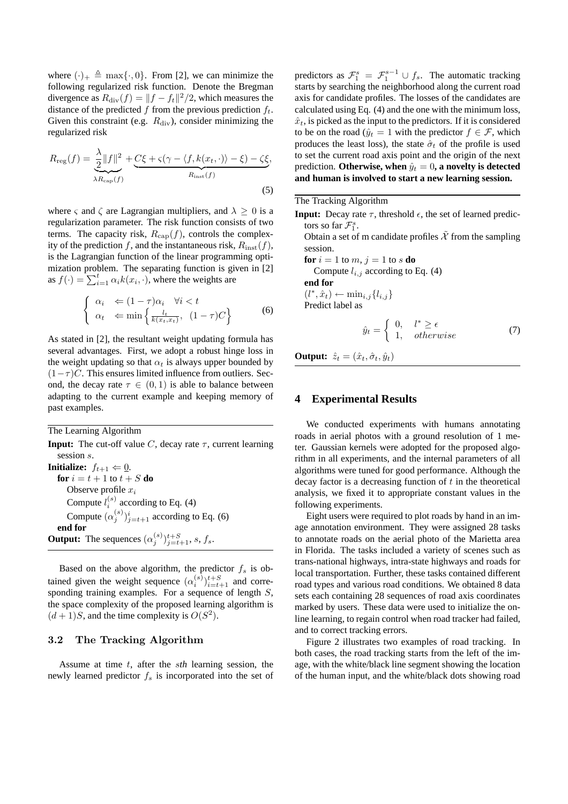where  $(\cdot)_+ \triangleq \max{\{\cdot, 0\}}$ . From [2], we can minimize the following regularized risk function. Denote the Bregman divergence as  $R_{\text{div}}(f) = ||f - f_t||^2/2$ , which measures the distance of the predicted f from the previous prediction  $f_t$ . Given this constraint (e.g.  $R_{\text{div}}$ ), consider minimizing the regularized risk

$$
R_{\text{reg}}(f) = \frac{\lambda}{2} ||f||^2 + \underbrace{C\xi + \varsigma(\gamma - \langle f, k(x_t, \cdot) \rangle - \xi) - \zeta\xi}_{R_{\text{inst}}(f)},
$$
\n(5)

where  $\varsigma$  and  $\zeta$  are Lagrangian multipliers, and  $\lambda \geq 0$  is a regularization parameter. The risk function consists of two terms. The capacity risk,  $R_{\text{cap}}(f)$ , controls the complexity of the prediction f, and the instantaneous risk,  $R_{\text{inst}}(f)$ , is the Lagrangian function of the linear programming optimization problem. The separating function is given in [2] mization problem. The separating function is gras  $f(\cdot) = \sum_{i=1}^{t} \alpha_i k(x_i, \cdot)$ , where the weights are

$$
\begin{cases} \alpha_i \Leftarrow (1-\tau)\alpha_i \quad \forall i < t \\ \alpha_t \quad \Leftarrow \min\left\{\frac{l_t}{k(x_t, x_t)}, \ (1-\tau)C\right\} \end{cases}
$$
 (6)

As stated in [2], the resultant weight updating formula has several advantages. First, we adopt a robust hinge loss in the weight updating so that  $\alpha_t$  is always upper bounded by  $(1-\tau)C$ . This ensures limited influence from outliers. Second, the decay rate  $\tau \in (0,1)$  is able to balance between adapting to the current example and keeping memory of past examples.

The Learning Algorithm

**Input:** The cut-off value C, decay rate  $\tau$ , current learning session s. **Initialize:**  $f_{t+1} \Leftarrow \underline{0}$ . **for**  $i = t + 1$  to  $t + S$  **do** Observe profile  $x_i$ Compute  $l_i^{(s)}$  according to Eq. (4) Compute  $(\alpha_j^{(s)})_{j=t+1}^i$  according to Eq. (6) **end for Output:** The sequences  $(\alpha_j^{(s)})_{j=t+1}^{t+S}, s, f_s$ .

Based on the above algorithm, the predictor  $f_s$  is obtained given the weight sequence  $(\alpha_i^{(s)})_{i=t+1}^{t+S}$  and corresponding training examples. For a sequence of length  $S$ , the space complexity of the proposed learning algorithm is  $(d+1)S$ , and the time complexity is  $O(S^2)$ .

#### 3.2 The Tracking Algorithm

Assume at time t, after the s*th* learning session, the newly learned predictor  $f_s$  is incorporated into the set of

predictors as  $\mathcal{F}_1^s = \mathcal{F}_1^{s-1} \cup f_s$ . The automatic tracking starts by searching the neighborhood along the current road axis for candidate profiles. The losses of the candidates are calculated using Eq. (4) and the one with the minimum loss,  $\hat{x}_t$ , is picked as the input to the predictors. If it is considered to be on the road ( $\hat{y}_t = 1$  with the predictor  $f \in \mathcal{F}$ , which produces the least loss), the state  $\hat{\sigma}_t$  of the profile is used to set the current road axis point and the origin of the next prediction. **Otherwise, when**  $\hat{y}_t = 0$ , a novelty is detected **and human is involved to start a new learning session.**

The Tracking Algorithm

**Input:** Decay rate  $\tau$ , threshold  $\epsilon$ , the set of learned predictors so far  $\mathcal{F}_1^s$ .

Obtain a set of m candidate profiles  $\tilde{\mathcal{X}}$  from the sampling session.

**for**  $i = 1$  to  $m, j = 1$  to  $s$  **do** 

Compute  $l_{i,j}$  according to Eq. (4)

**end for**  $(l^*, \hat{x}_t) \leftarrow \min_{i,j} \{l_{i,j}\}\$ Predict label as

$$
\hat{y}_t = \begin{cases} 0, & l^* \ge \epsilon \\ 1, & \text{otherwise} \end{cases} \tag{7}
$$

**Output:**  $\hat{z}_t = (\hat{x}_t, \hat{\sigma}_t, \hat{y}_t)$ 

### **4 Experimental Results**

We conducted experiments with humans annotating roads in aerial photos with a ground resolution of 1 meter. Gaussian kernels were adopted for the proposed algorithm in all experiments, and the internal parameters of all algorithms were tuned for good performance. Although the decay factor is a decreasing function of  $t$  in the theoretical analysis, we fixed it to appropriate constant values in the following experiments.

Eight users were required to plot roads by hand in an image annotation environment. They were assigned 28 tasks to annotate roads on the aerial photo of the Marietta area in Florida. The tasks included a variety of scenes such as trans-national highways, intra-state highways and roads for local transportation. Further, these tasks contained different road types and various road conditions. We obtained 8 data sets each containing 28 sequences of road axis coordinates marked by users. These data were used to initialize the online learning, to regain control when road tracker had failed, and to correct tracking errors.

Figure 2 illustrates two examples of road tracking. In both cases, the road tracking starts from the left of the image, with the white/black line segment showing the location of the human input, and the white/black dots showing road